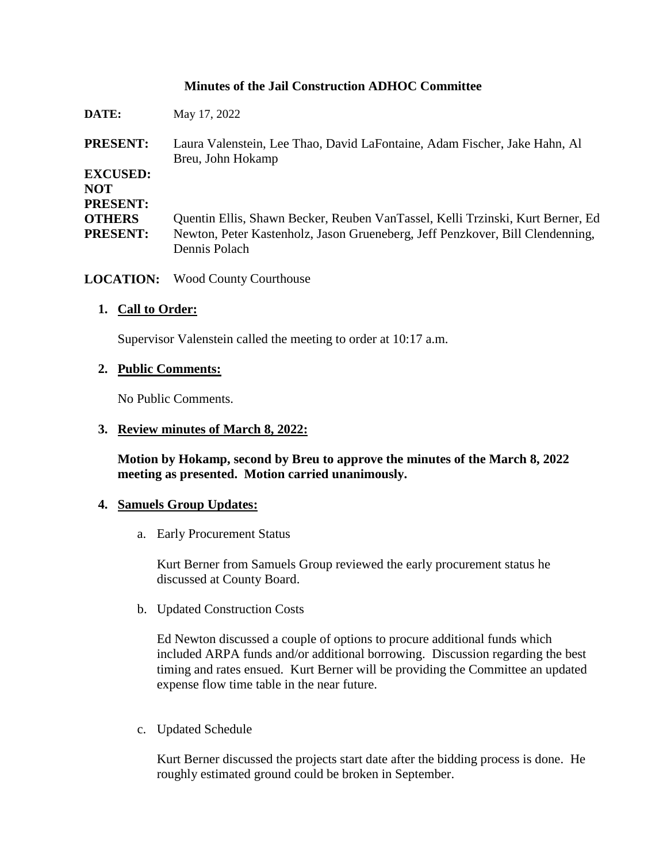# **Minutes of the Jail Construction ADHOC Committee**

| DATE:                                            | May 17, 2022                                                                                                                                                                     |
|--------------------------------------------------|----------------------------------------------------------------------------------------------------------------------------------------------------------------------------------|
| <b>PRESENT:</b>                                  | Laura Valenstein, Lee Thao, David LaFontaine, Adam Fischer, Jake Hahn, Al<br>Breu, John Hokamp                                                                                   |
| <b>EXCUSED:</b><br><b>NOT</b><br><b>PRESENT:</b> |                                                                                                                                                                                  |
| <b>OTHERS</b><br><b>PRESENT:</b>                 | Quentin Ellis, Shawn Becker, Reuben VanTassel, Kelli Trzinski, Kurt Berner, Ed<br>Newton, Peter Kastenholz, Jason Grueneberg, Jeff Penzkover, Bill Clendenning,<br>Dennis Polach |

**LOCATION:** Wood County Courthouse

#### **1. Call to Order:**

Supervisor Valenstein called the meeting to order at 10:17 a.m.

#### **2. Public Comments:**

No Public Comments.

#### **3. Review minutes of March 8, 2022:**

**Motion by Hokamp, second by Breu to approve the minutes of the March 8, 2022 meeting as presented. Motion carried unanimously.**

#### **4. Samuels Group Updates:**

a. Early Procurement Status

Kurt Berner from Samuels Group reviewed the early procurement status he discussed at County Board.

b. Updated Construction Costs

Ed Newton discussed a couple of options to procure additional funds which included ARPA funds and/or additional borrowing. Discussion regarding the best timing and rates ensued. Kurt Berner will be providing the Committee an updated expense flow time table in the near future.

c. Updated Schedule

Kurt Berner discussed the projects start date after the bidding process is done. He roughly estimated ground could be broken in September.